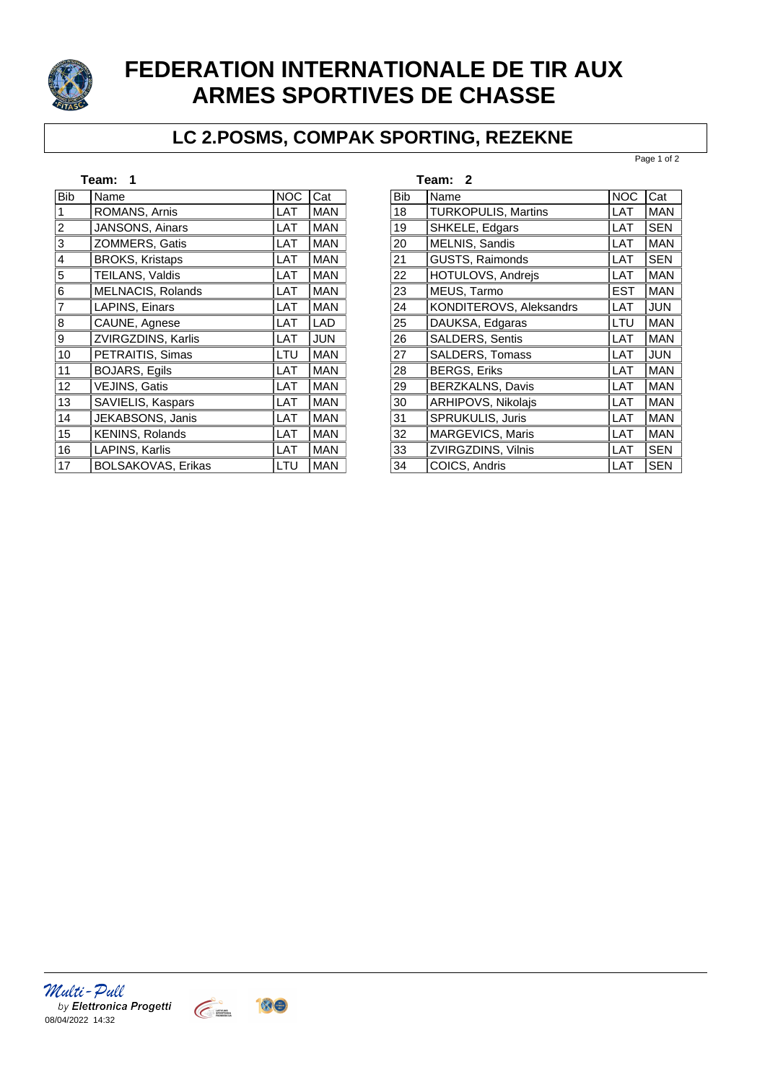

## **FEDERATION INTERNATIONALE DE TIR AUX ARMES SPORTIVES DE CHASSE**

## **LC 2.POSMS, COMPAK SPORTING, REZEKNE**

Page 1 of 2

| Team: 1        |                           |            |            |  |
|----------------|---------------------------|------------|------------|--|
| <b>Bib</b>     | Name                      | <b>NOC</b> | lCat       |  |
| 1              | ROMANS, Arnis             | LAT        | <b>MAN</b> |  |
| 2              | JANSONS, Ainars           | LAT        | <b>MAN</b> |  |
| 3              | ZOMMERS, Gatis            | LAT        | <b>MAN</b> |  |
| 4              | <b>BROKS, Kristaps</b>    | LAT        | <b>MAN</b> |  |
| 5              | TEILANS, Valdis           | LAT        | <b>MAN</b> |  |
| 6              | MELNACIS, Rolands         | LAT        | <b>MAN</b> |  |
| $\overline{7}$ | LAPINS, Einars            | LAT        | <b>MAN</b> |  |
| 8              | CAUNE, Agnese             | LAT        | <b>LAD</b> |  |
| 9              | ZVIRGZDINS, Karlis        | LAT        | <b>JUN</b> |  |
| 10             | PETRAITIS, Simas          | LTU        | <b>MAN</b> |  |
| 11             | <b>BOJARS, Egils</b>      | LAT        | <b>MAN</b> |  |
| 12             | VEJINS, Gatis             | LAT        | <b>MAN</b> |  |
| 13             | SAVIELIS, Kaspars         | <b>LAT</b> | <b>MAN</b> |  |
| 14             | JEKABSONS, Janis          | <b>LAT</b> | <b>MAN</b> |  |
| 15             | KENINS, Rolands           | LAT        | <b>MAN</b> |  |
| 16             | LAPINS, Karlis            | LAT        | <b>MAN</b> |  |
| 17             | <b>BOLSAKOVAS, Erikas</b> | LTU        | <b>MAN</b> |  |

| Team: 2    |                            |            |            |  |
|------------|----------------------------|------------|------------|--|
| <b>Bib</b> | Name                       | <b>NOC</b> | l Cat      |  |
| 18         | <b>TURKOPULIS, Martins</b> | LAT        | <b>MAN</b> |  |
| 19         | <b>SHKELE, Edgars</b>      | <b>LAT</b> | <b>SEN</b> |  |
| 20         | MELNIS, Sandis             | LAT        | <b>MAN</b> |  |
| 21         | <b>GUSTS, Raimonds</b>     | <b>LAT</b> | <b>SEN</b> |  |
| 22         | HOTULOVS, Andrejs          | LAT        | <b>MAN</b> |  |
| 23         | MEUS, Tarmo                | <b>EST</b> | <b>MAN</b> |  |
| 24         | KONDITEROVS, Aleksandrs    | LAT        | <b>JUN</b> |  |
| 25         | DAUKSA, Edgaras            | LTU        | <b>MAN</b> |  |
| 26         | <b>SALDERS, Sentis</b>     | LAT        | <b>MAN</b> |  |
| 27         | <b>SALDERS, Tomass</b>     | <b>LAT</b> | <b>JUN</b> |  |
| 28         | <b>BERGS, Eriks</b>        | <b>LAT</b> | <b>MAN</b> |  |
| 29         | BERZKALNS, Davis           | LAT        | <b>MAN</b> |  |
| 30         | ARHIPOVS, Nikolais         | LAT        | <b>MAN</b> |  |
| 31         | SPRUKULIS, Juris           | LAT        | <b>MAN</b> |  |
| 32         | MARGEVICS, Maris           | LAT        | <b>MAN</b> |  |
| 33         | ZVIRGZDINS, Vilnis         | LAT        | <b>SEN</b> |  |
| 34         | COICS, Andris              | LAT        | <b>SEN</b> |  |